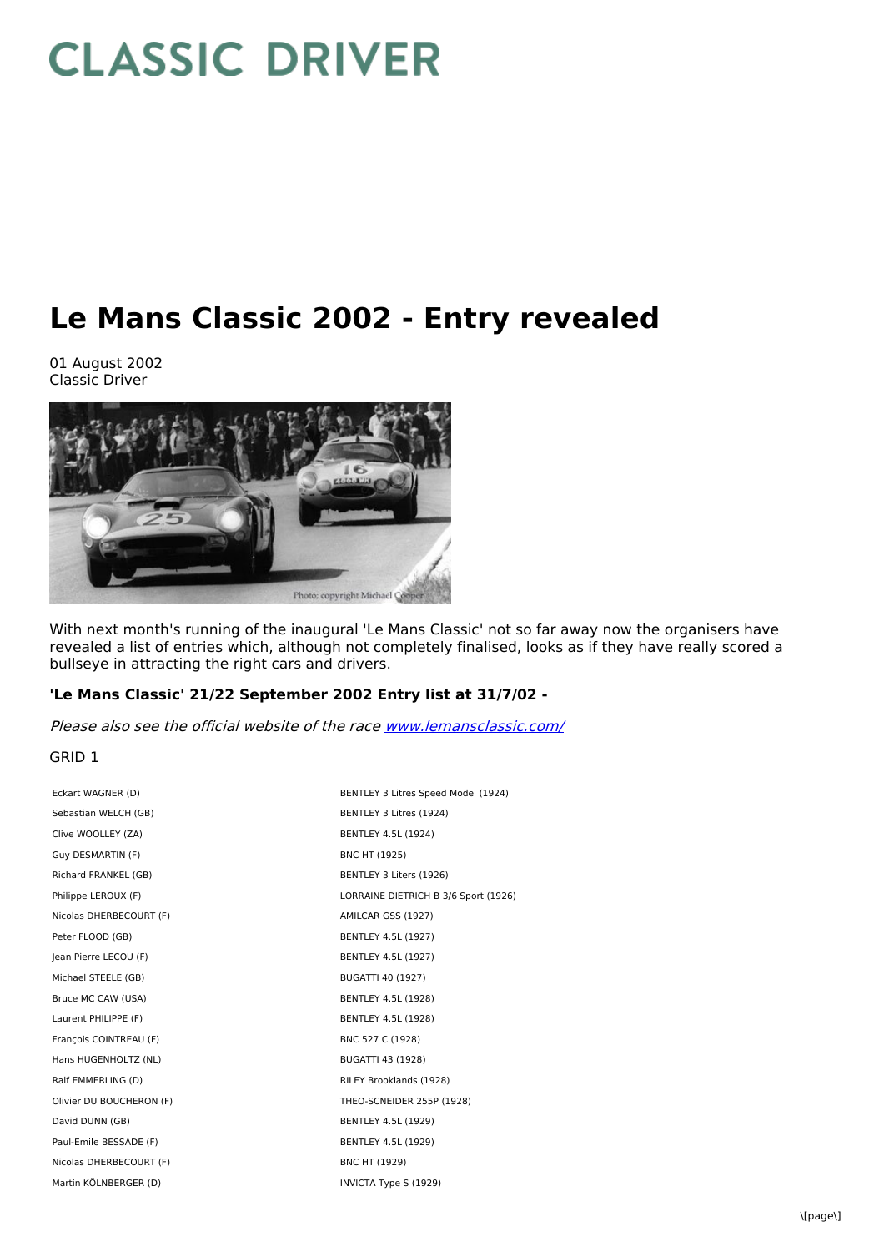# **CLASSIC DRIVER**

# **Le Mans Classic 2002 - Entry revealed**

01 August 2002 Classic Driver



With next month's running of the inaugural 'Le Mans Classic' not so far away now the organisers have revealed a list of entries which, although not completely finalised, looks as if they have really scored a bullseye in attracting the right cars and drivers.

# **'Le Mans Classic' 21/22 September 2002 Entry list at 31/7/02 -**

Please also see the official website of the race [www.lemansclassic.com/](http://www.lemansclassic.com/)

# GRID 1

| Eckart WAGNER (D)        | BENTLEY 3 Litres Speed Model (1924)  |
|--------------------------|--------------------------------------|
| Sebastian WELCH (GB)     | BENTLEY 3 Litres (1924)              |
| Clive WOOLLEY (ZA)       | BENTLEY 4.5L (1924)                  |
| Guy DESMARTIN (F)        | <b>BNC HT (1925)</b>                 |
| Richard FRANKEL (GB)     | BENTLEY 3 Liters (1926)              |
| Philippe LEROUX (F)      | LORRAINE DIETRICH B 3/6 Sport (1926) |
| Nicolas DHERBECOURT (F)  | AMILCAR GSS (1927)                   |
| Peter FLOOD (GB)         | BENTLEY 4.5L (1927)                  |
| Jean Pierre LECOU (F)    | <b>BENTLEY 4.5L (1927)</b>           |
| Michael STEELE (GB)      | BUGATTI 40 (1927)                    |
| Bruce MC CAW (USA)       | BENTLEY 4.5L (1928)                  |
| Laurent PHILIPPE (F)     | BENTLEY 4.5L (1928)                  |
| François COINTREAU (F)   | BNC 527 C (1928)                     |
| Hans HUGENHOLTZ (NL)     | BUGATTI 43 (1928)                    |
| Ralf EMMERLING (D)       | RILEY Brooklands (1928)              |
| Olivier DU BOUCHERON (F) | THEO-SCNEIDER 255P (1928)            |
| David DUNN (GB)          | BENTLEY 4.5L (1929)                  |
| Paul-Emile BESSADE (F)   | BENTLEY 4.5L (1929)                  |
| Nicolas DHERBECOURT (F)  | BNC HT (1929)                        |
| Martin KÖLNBERGER (D)    | INVICTA Type S (1929)                |
|                          |                                      |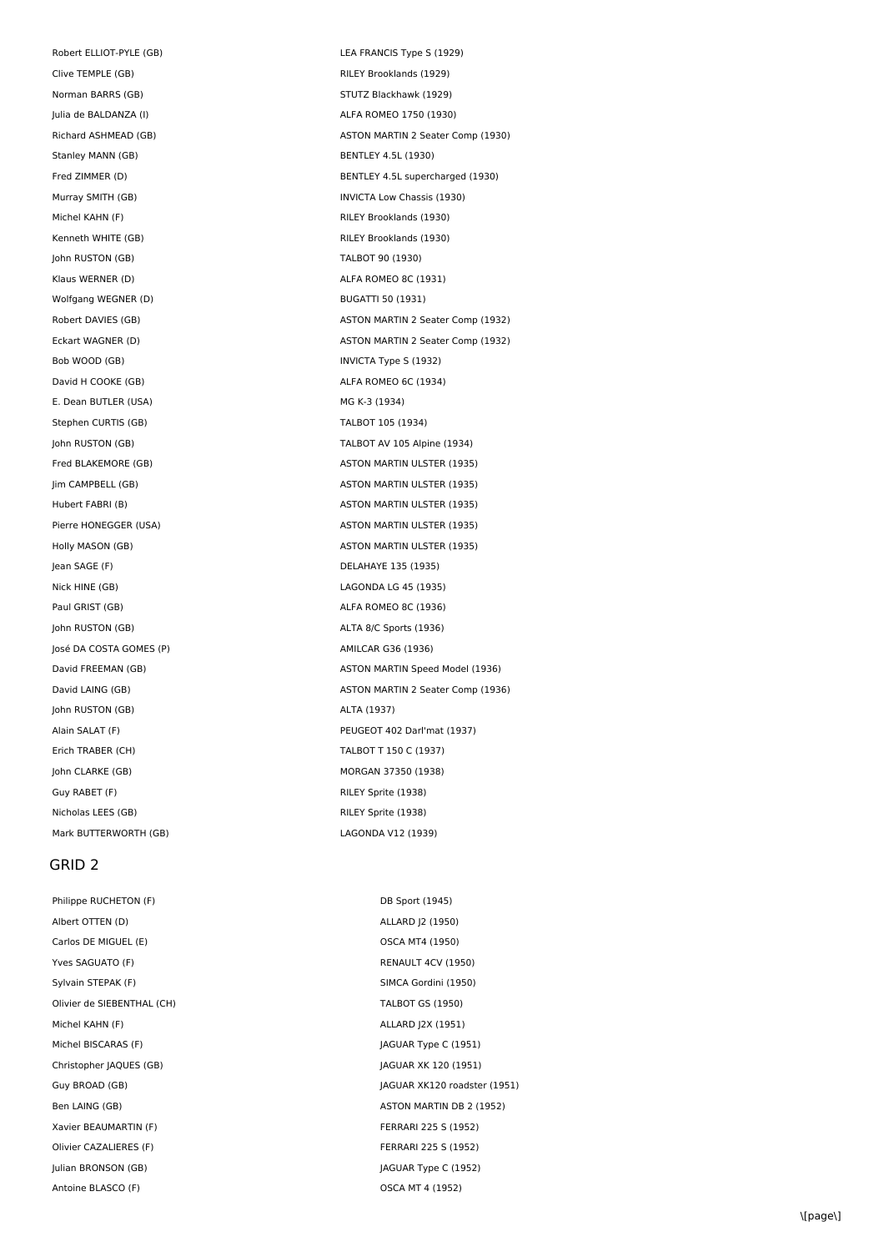Robert ELLIOT-PYLE (GB) STATE (GB) LEA FRANCIS Type S (1929) Clive TEMPLE (GB) Clive TEMPLE (GB) Norman BARRS (GB) STUTZ Blackhawk (1929) Julia de BALDANZA (I) ALFA ROMEO 1750 (1930) Stanley MANN (GB) BENTLEY 4.5L (1930) Michel KAHN (F) **RILEY Brooklands (1930)** Kenneth WHITE (GB) RILEY Brooklands (1930) John RUSTON (GB) TALBOT 90 (1930) Klaus WERNER (D) and a series of the ALFA ROMEO 8C (1931) Wolfgang WEGNER (D) BUGATTI 50 (1931) Bob WOOD (GB) **INVICTA Type S (1932)** David H COOKE (GB) ALFA ROMEO 6C (1934) E. Dean BUTLER (USA) MG K-3 (1934) Stephen CURTIS (GB) TALBOT 105 (1934) Jean SAGE (F) DELAHAYE 135 (1935) Nick HINE (GB) LAGONDA LG 45 (1935) Paul GRIST (GB) ALFA ROMEO 8C (1936) John RUSTON (GB) ALTA 8/C Sports (1936) José DA COSTA GOMES (P)  $\blacksquare$ John RUSTON (GB) **ALTA** (1937) Erich TRABER (CH) TALBOT T 150 C (1937) John CLARKE (GB) MORGAN 37350 (1938) Guy RABET (F) **RILEY Sprite (1938)** Nicholas LEES (GB) RILEY Sprite (1938) Mark BUTTERWORTH (GB) LAGONDA V12 (1939)

#### GRID 2

Philippe RUCHETON (F) DB Sport (1945) Albert OTTEN (D) ALLARD J2 (1950) Carlos DE MIGUEL (E) Carlos DE MIGUEL (E) Yves SAGUATO (F) **RENAULT 4CV (1950)** Sylvain STEPAK (F) Sylvain STEPAK (F) SIMCA Gordini (1950) Olivier de SIEBENTHAL (CH) TALBOT GS (1950) Michel KAHN (F) ALLARD J2X (1951) Michel BISCARAS (F) Sandwich Michel BISCARAS (F) AGUAR Type C (1951) Christopher JAQUES (GB) JAGUAR XK 120 (1951) Xavier BEAUMARTIN (F) THE REAUMARTIN (F) Olivier CAZALIERES (F) THE RESOLUTION OF FERRARI 225 S (1952) Julian BRONSON (GB) JAGUAR Type C (1952) Antoine BLASCO (F) OSCA MT 4 (1952)

Richard ASHMEAD (GB) ASTON MARTIN 2 Seater Comp (1930) Fred ZIMMER (D) BENTLEY 4.5L supercharged (1930) Murray SMITH (GB) **INVICTA Low Chassis (1930)** Robert DAVIES (GB) **ASTON MARTIN 2 Seater Comp (1932)** Eckart WAGNER (D) **ASTON MARTIN 2 Seater Comp (1932)** John RUSTON (GB) TALBOT AV 105 Alpine (1934) Fred BLAKEMORE (GB) ASTON MARTIN ULSTER (1935) Jim CAMPBELL (GB) ASTON MARTIN ULSTER (1935) Hubert FABRI (B) ASTON MARTIN ULSTER (1935) Pierre HONEGGER (USA) ASTON MARTIN ULSTER (1935) Holly MASON (GB) ASTON MARTIN ULSTER (1935) David FREEMAN (GB) **ASTON MARTIN Speed Model (1936)** ASTON MARTIN Speed Model (1936) David LAING (GB) **ASTON MARTIN 2 Seater Comp (1936)** ASTON MARTIN 2 Seater Comp (1936) Alain SALAT (F) PEUGEOT 402 Darl'mat (1937)

Guy BROAD (GB) **JAGUAR XK120 roadster (1951)** Ben LAING (GB) ASTON MARTIN DB 2 (1952)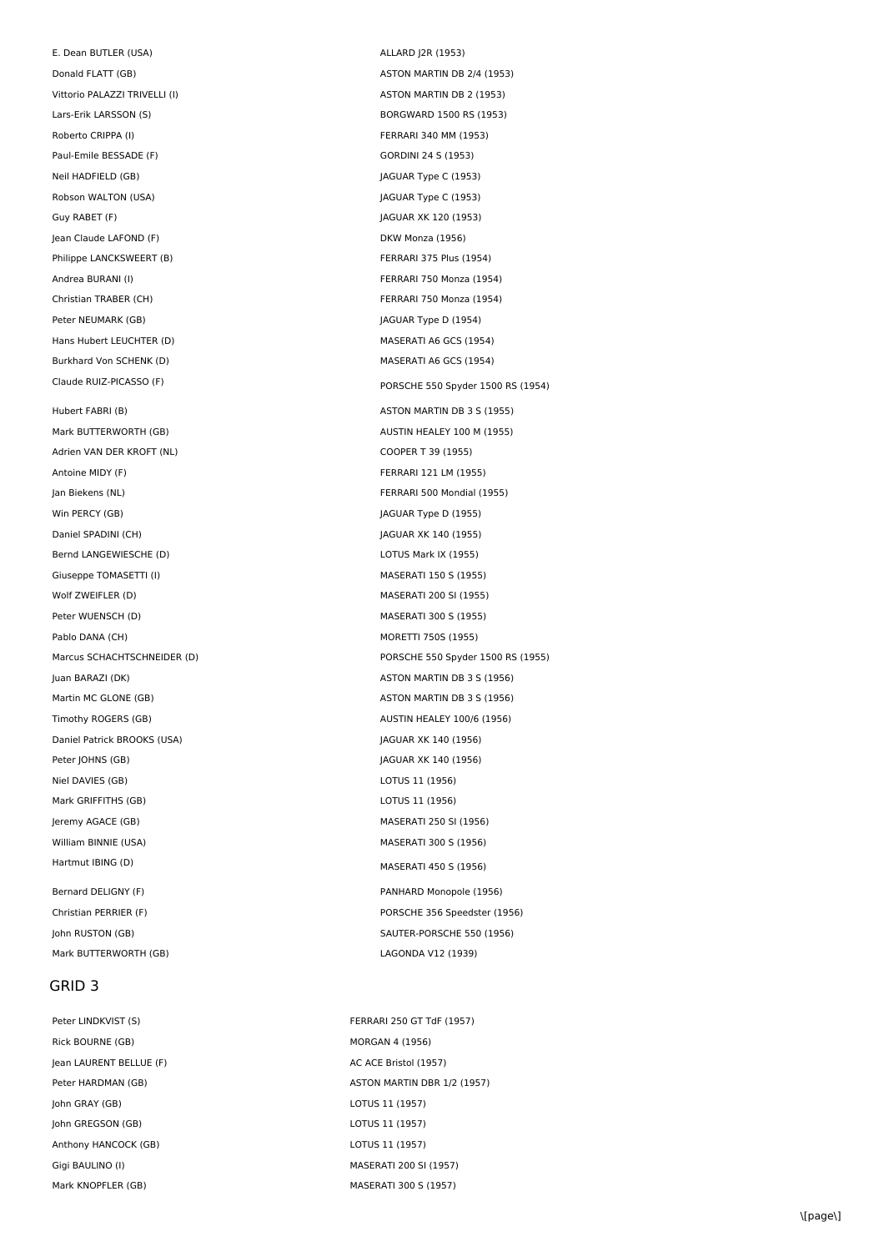E. Dean BUTLER (USA) ALLARD J2R (1953) Donald FLATT (GB) ASTON MARTIN DB 2/4 (1953) Vittorio PALAZZI TRIVELLI (I) and the set of the set of the set of the set of the set of the set of the set of the set of the set of the set of the set of the set of the set of the set of the set of the set of the set of t Lars-Erik LARSSON (S) BORGWARD 1500 RS (1953) Roberto CRIPPA (I) FERRARI 340 MM (1953) Paul-Emile BESSADE (F) GORDINI 24 S (1953) Neil HADFIELD (GB) 3 | AGUAR Type C (1953) Robson WALTON (USA) and the USA of the USA of the USA of the USA of the USA of the USA of the USA of the USA o Guy RABET (F) 30 JAGUAR XK 120 (1953) Jean Claude LAFOND (F) and the Cause of the DKW Monza (1956) Philippe LANCKSWEERT (B) The Second Second Second Second Second Second Second Second Second Second Second Second Second Second Second Second Second Second Second Second Second Second Second Second Second Second Second Seco Andrea BURANI (I) FERRARI 750 Monza (1954) Christian TRABER (CH) THE RESERVED ON THE FERRARI 750 Monza (1954) Peter NEUMARK (GB) The Second Second Second Second Second Second Second Second Second Second Second Second Second Second Second Second Second Second Second Second Second Second Second Second Second Second Second Second Sec Hans Hubert LEUCHTER (D) MASERATI A6 GCS (1954) Burkhard Von SCHENK (D) MASERATI A6 GCS (1954) Hubert FABRI (B) ASTON MARTIN DB 3 S (1955) Mark BUTTERWORTH (GB) Mark BUTTERWORTH (GB) Adrien VAN DER KROFT (NL) COOPER T 39 (1955) Antoine MIDY (F) FERRARI 121 LM (1955) Jan Biekens (NL) FERRARI 500 Mondial (1955) Win PERCY (GB) Solution (GB) AGUAR Type D (1955) Daniel SPADINI (CH) JAGUAR XK 140 (1955) Bernd LANGEWIESCHE (D) and the control of the control of the LOTUS Mark IX (1955) Giuseppe TOMASETTI (I) and the Company of the MASERATI 150 S (1955) Wolf ZWEIFLER (D) MASERATI 200 SI (1955) Peter WUENSCH (D) and the extent of the MASERATI 300 S (1955) Pablo DANA (CH) **MORETTI 750S (1955) Juan BARAZI (DK)** ASTON MARTIN DB 3 S (1956) Martin MC GLONE (GB) ASTON MARTIN DB 3 S (1956) Timothy ROGERS (GB) **AUSTIN HEALEY 100/6 (1956)** AUSTIN HEALEY 100/6 (1956) Daniel Patrick BROOKS (USA) and the USA of the USA of the USA of the USA of the USA of the USA of the USA of the USA Peter JOHNS (GB) **JAGUAR XK 140 (1956)** Niel DAVIES (GB) LOTUS 11 (1956) Mark GRIFFITHS (GB) LOTUS 11 (1956) Jeremy AGACE (GB) MASERATI 250 SI (1956) William BINNIE (USA) MASERATI 300 S (1956) Hartmut IBING (D) MASERATI 450 S (1956) Bernard DELIGNY (F) Sand Transformation of the PANHARD Monopole (1956) Christian PERRIER (F) PORSCHE 356 Speedster (1956)

### GRID 3

Rick BOURNE (GB) MORGAN 4 (1956) Jean LAURENT BELLUE (F) AC ACE Bristol (1957) John GRAY (GB) LOTUS 11 (1957) John GREGSON (GB) LOTUS 11 (1957) Anthony HANCOCK (GB) LOTUS 11 (1957) Gigi BAULINO (I) and the state of the MASERATI 200 SI (1957) Mark KNOPFLER (GB) MASERATI 300 S (1957)

Claude RUIZ-PICASSO (F) Claude RUIZ-PICASSO (F) Marcus SCHACHTSCHNEIDER (D) entitled and the control of PORSCHE 550 Spyder 1500 RS (1955) John RUSTON (GB) **SAUTER-PORSCHE 550 (1956)** Mark BUTTERWORTH (GB) LAGONDA V12 (1939)

Peter LINDKVIST (S) FERRARI 250 GT TdF (1957) Peter HARDMAN (GB) ASTON MARTIN DBR 1/2 (1957)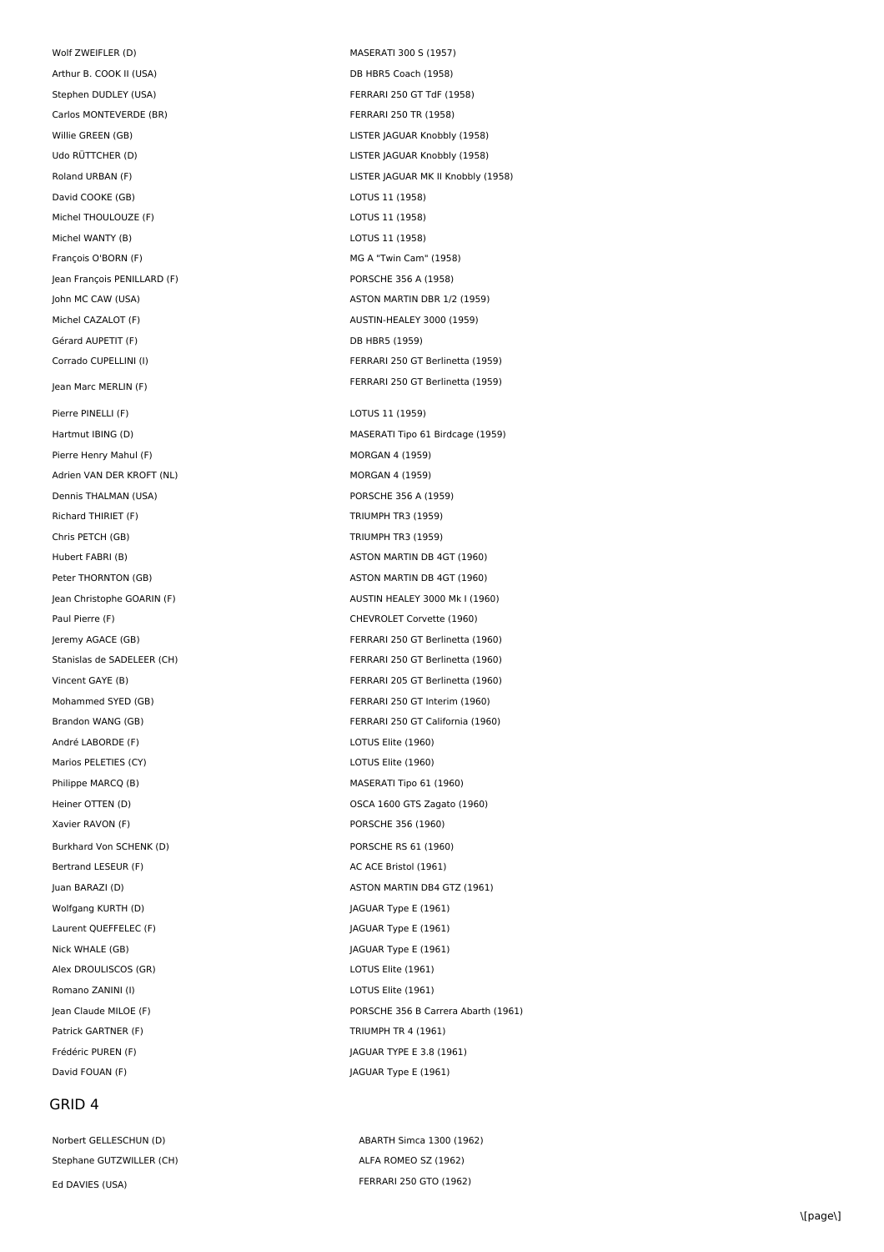Wolf ZWEIFLER (D) MASERATI 300 S (1957) Arthur B. COOK II (USA) DB HBR5 Coach (1958) Stephen DUDLEY (USA) FERRARI 250 GT TdF (1958) Carlos MONTEVERDE (BR) FERRARI 250 TR (1958) David COOKE (GB) LOTUS 11 (1958) Michel THOULOUZE (F) and the control of the control of the control of the control of the control of the control of the control of the control of the control of the control of the control of the control of the control of th Michel WANTY (B) COTUS 11 (1958) François O'BORN (F) **MG A "Twin Cam" (1958)** MG A "Twin Cam" (1958) Jean François PENILLARD (F) **PORSCHE 356 A (1958)** Michel CAZALOT (F) AUSTIN-HEALEY 3000 (1959) Gérard AUPETIT (F) Casado Bandard Contract Contract DB HBR5 (1959) Jean Marc MERLIN (F) Pierre PINELLI (F) CHECK CONTROLLI (1959) Pierre Henry Mahul (F) MORGAN 4 (1959) Adrien VAN DER KROFT (NL) MORGAN 4 (1959) Dennis THALMAN (USA) PORSCHE 356 A (1959) Richard THIRIFT (F) TRIUMPH TR3 (1959) Chris PETCH (GB) TRIUMPH TR3 (1959) Paul Pierre (F) CHEVROLET Corvette (1960) André LABORDE (F) CONSERVERTISSE EN LOTUS Elite (1960) Marios PELETIES (CY) and the control of the control of the control of the control of the control of the control of the control of the control of the control of the control of the control of the control of the control of th Philippe MARCQ (B) MASERATI Tipo 61 (1960) Xavier RAVON (F) PORSCHE 356 (1960) Burkhard Von SCHENK (D) example a control of the PORSCHE RS 61 (1960) Bertrand LESEUR (F) AC ACE Bristol (1961) Wolfgang KURTH (D)  $JAGUAR Type E (1961)$ Laurent QUEFFELEC (F)  $\qquad \qquad$  JAGUAR Type E (1961) Nick WHALE (GB) **JAGUAR Type E** (1961) Alex DROULISCOS (GR) LOTUS Elite (1961) Romano ZANINI (I) LOTUS Elite (1961) Patrick GARTNER (F) TRIUMPH TR 4 (1961) Frédéric PUREN (F)  $JAGUAR$  TYPE E 3.8 (1961) David FOUAN (F) Sand Transformation of the UAGUAR Type E (1961)

#### GRID 4

Norbert GELLESCHUN (D) <br>ABARTH Simca 1300 (1962) Stephane GUTZWILLER (CH) ALFA ROMEO SZ (1962) Ed DAVIES (USA) FERRARI 250 GTO (1962)

Willie GREEN (GB) LISTER JAGUAR Knobbly (1958) Udo RÜTTCHER (D) LISTER JAGUAR Knobbly (1958) Roland URBAN (F) LISTER JAGUAR MK II Knobbly (1958) John MC CAW (USA) ASTON MARTIN DBR 1/2 (1959) Corrado CUPELLINI (I) FERRARI 250 GT Berlinetta (1959) FERRARI 250 GT Berlinetta (1959) Hartmut IBING (D) MASERATI Tipo 61 Birdcage (1959) Hubert FABRI (B) ASTON MARTIN DB 4GT (1960) Peter THORNTON (GB) ASTON MARTIN DB 4GT (1960) Jean Christophe GOARIN (F) AUSTIN HEALEY 3000 Mk I (1960) Jeremy AGACE (GB) FERRARI 250 GT Berlinetta (1960) Stanislas de SADELEER (CH) en activité de SADELEER (CH) en activité de la FERRARI 250 GT Berlinetta (1960) Vincent GAYE (B) FERRARI 205 GT Berlinetta (1960) Mohammed SYED (GB) FERRARI 250 GT Interim (1960) Brandon WANG (GB) FERRARI 250 GT California (1960) Heiner OTTEN (D) CHENNICS CONSULTER CONTENTS OSCA 1600 GTS Zagato (1960) Juan BARAZI (D) ASTON MARTIN DB4 GTZ (1961) Jean Claude MILOE (F) PORSCHE 356 B Carrera Abarth (1961)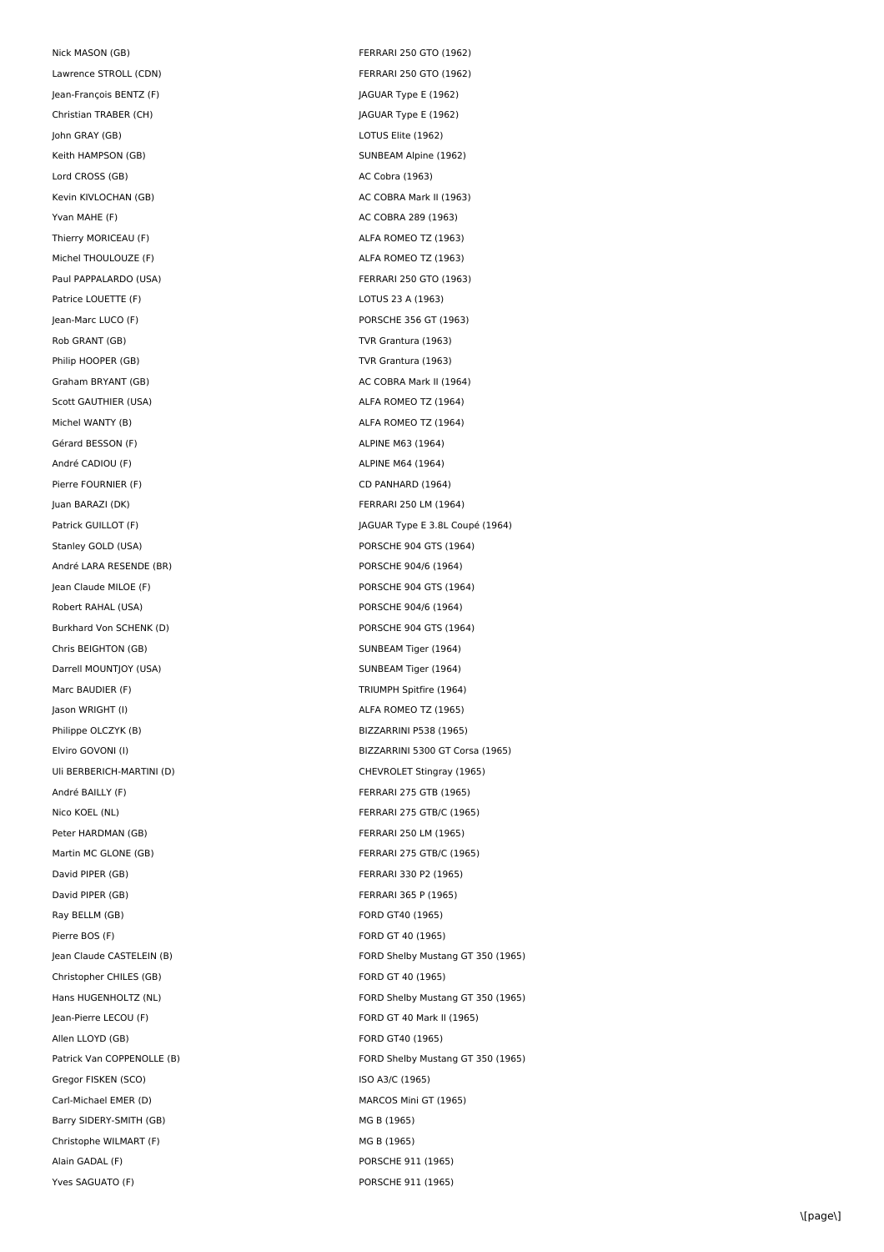Nick MASON (GB) FERRARI 250 GTO (1962) Lawrence STROLL (CDN) and the contract of the FERRARI 250 GTO (1962) Jean-François BENTZ (F)  $JAGUAR Type E (1962)$ Christian TRABER (CH) JAGUAR Type E (1962) John GRAY (GB) LOTUS Elite (1962) Keith HAMPSON (GB) SUNBEAM Alpine (1962) Lord CROSS (GB) AC Cobra (1963) Kevin KIVLOCHAN (GB) AC COBRA Mark II (1963) Yvan MAHE (F) <br>AC COBRA 289 (1963) Thierry MORICEAU (F) **ALFA ROMEO TZ** (1963) Michel THOULOUZE (F) ALFA ROMEO TZ (1963) Paul PAPPALARDO (USA) FERRARI 250 GTO (1963) Patrice LOUETTE (F) LOTUS 23 A (1963) Jean-Marc LUCO (F) PORSCHE 356 GT (1963) Rob GRANT (GB) TVR Grantura (1963) Philip HOOPER (GB) TVR Grantura (1963) Graham BRYANT (GB) AC COBRA Mark II (1964) Scott GAUTHIER (USA) ALFA ROMEO TZ (1964) Michel WANTY (B) <br>ALFA ROMEO TZ (1964) Gérard BESSON (F) **ALPINE M63 (1964)** André CADIOU (F) andré CADIOU (F) Pierre FOURNIER (F) CD PANHARD (1964) Juan BARAZI (DK) FERRARI 250 LM (1964) Stanley GOLD (USA) PORSCHE 904 GTS (1964) André LARA RESENDE (BR) en accessorie d'André LARA RESENDE (BR) Jean Claude MILOE (F) PORSCHE 904 GTS (1964) Robert RAHAL (USA) PORSCHE 904/6 (1964) Burkhard Von SCHENK (D) PORSCHE 904 GTS (1964) Chris BEIGHTON (GB) SUNBEAM Tiger (1964) Darrell MOUNTJOY (USA) SUNBEAM Tiger (1964) Marc BAUDIER (F) TRIUMPH Spitfire (1964) Jason WRIGHT (I) ALFA ROMEO TZ (1965) Philippe OLCZYK (B) and the Case of the BIZZARRINI P538 (1965) Uli BERBERICH-MARTINI (D) CHEVROLET Stingray (1965) André BAILLY (F) **FERRARI 275 GTB** (1965) Nico KOEL (NL) FERRARI 275 GTB/C (1965) Peter HARDMAN (GB) The South of the Second Second Second Second Second Second Second Second Second Second Second Second Second Second Second Second Second Second Second Second Second Second Second Second Second Second Seco Martin MC GLONE (GB) **FERRARI 275 GTB/C (1965)** David PIPER (GB) FERRARI 330 P2 (1965) David PIPER (GB) FERRARI 365 P (1965) Ray BELLM (GB) FORD GT40 (1965) Pierre BOS (F) FORD GT 40 (1965) Christopher CHILES (GB) The Christopher CHILES (GB) Christopher CHILES (GB) Jean-Pierre LECOU (F) FORD GT 40 Mark II (1965) Allen LLOYD (GB) **FORD GT40** (1965) Gregor FISKEN (SCO) and the state of the state of the ISO A3/C (1965) Carl-Michael EMER (D) and the Carl-Michael EMER (D) and the MARCOS Mini GT (1965) Barry SIDERY-SMITH (GB) MG B (1965) Christophe WILMART (F) and the Christophe WILMART (F) and the Christophe MG B (1965) Alain GADAL (F) PORSCHE 911 (1965)

Patrick GUILLOT (F)  $JAGUAR Type E 3.8L Coupe (1964)$ Elviro GOVONI (I) BIZZARRINI 5300 GT Corsa (1965) Jean Claude CASTELEIN (B) FORD Shelby Mustang GT 350 (1965) Hans HUGENHOLTZ (NL) **FORD Shelby Mustang GT 350 (1965)** Patrick Van COPPENOLLE (B) The Company of Shelby Mustang GT 350 (1965) Yves SAGUATO (F) PORSCHE 911 (1965)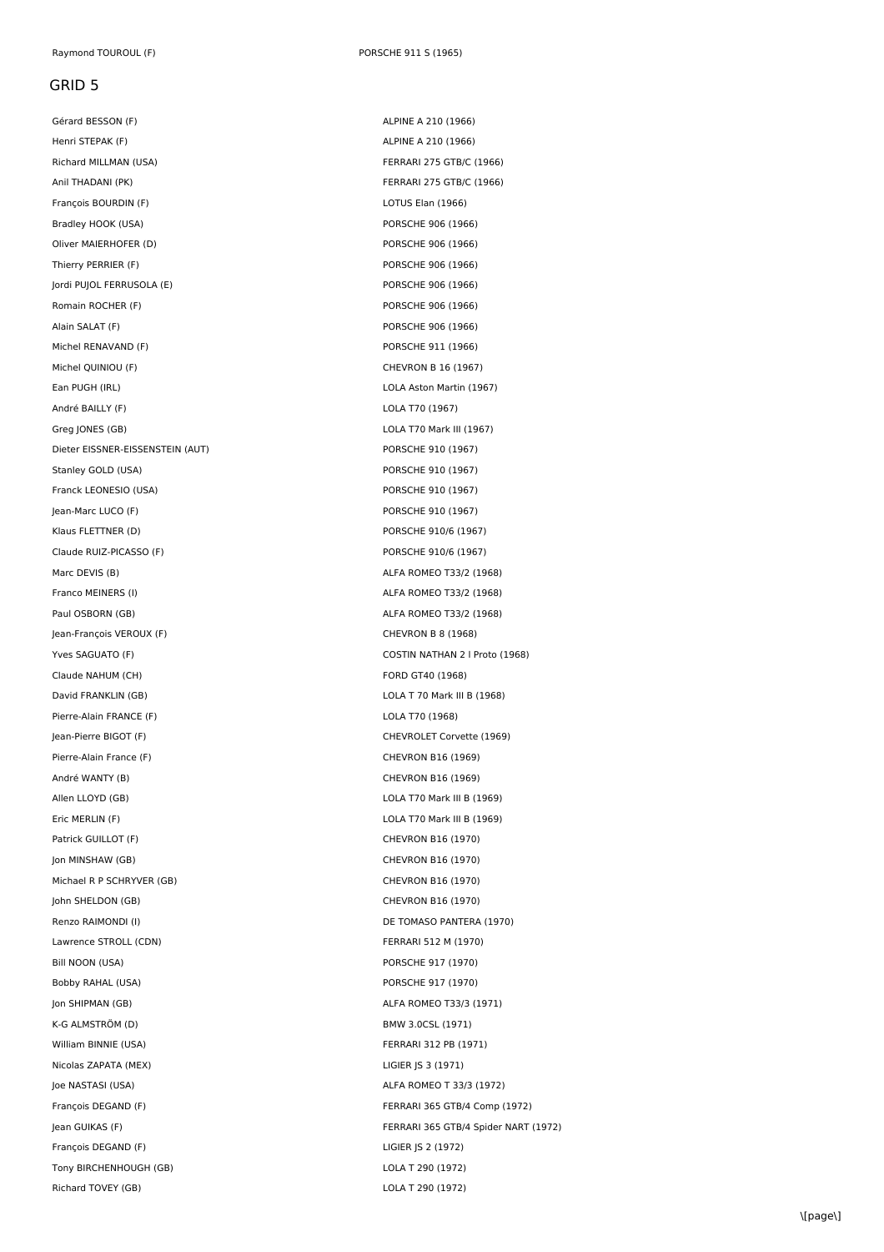Henri STEPAK (F) <br>ALPINE A 210 (1966) Richard MILLMAN (USA) FERRARI 275 GTB/C (1966) Anil THADANI (PK) FERRARI 275 GTB/C (1966) François BOURDIN (F) **LOTUS Elan (1966)** Bradley HOOK (USA) extending the policing of the PORSCHE 906 (1966) Oliver MAIERHOFER (D) PORSCHE 906 (1966) Thierry PERRIER (F) **PORSCHE 906 (1966)** Jordi PUJOL FERRUSOLA (E) PORSCHE 906 (1966) Romain ROCHER (F) **PORSCHE 906 (1966)** PORSCHE 906 (1966) Alain SALAT (F) **PORSCHE 906 (1966)** Michel RENAVAND (F) PORSCHE 911 (1966) Michel QUINIOU (F) CHEVRON B 16 (1967) Ean PUGH (IRL) LOLA Aston Martin (1967) André BAILLY (F) LOLA T70 (1967) Greg JONES (GB) COLA T70 Mark III (1967) Dieter EISSNER-EISSENSTEIN (AUT) PORSCHE 910 (1967) Stanley GOLD (USA) PORSCHE 910 (1967) Franck LEONESIO (USA) PORSCHE 910 (1967) Jean-Marc LUCO (F) PORSCHE 910 (1967) Klaus FLETTNER (D) PORSCHE 910/6 (1967) Claude RUIZ-PICASSO (F) PORSCHE 910/6 (1967) Marc DEVIS (B) ALFA ROMEO T33/2 (1968) Franco MEINERS (I) and the state of the state of the ALFA ROMEO T33/2 (1968) Paul OSBORN (GB) <br>ALFA ROMEO T33/2 (1968) Jean-François VEROUX (F) CHEVRON B 8 (1968) Claude NAHUM (CH) **FORD GT40 (1968)** David FRANKLIN (GB) LOLA T 70 Mark III B (1968) Pierre-Alain FRANCE (F) LOLA T70 (1968) Jean-Pierre BIGOT (F) CHEVROLET Corvette (1969) Pierre-Alain France (F) CHEVRON B16 (1969) André WANTY (B) CHEVRON B16 (1969) Allen LLOYD (GB) LOLA T70 Mark III B (1969) Eric MERLIN (F) LOLA T70 Mark III B (1969) Patrick GUILLOT (F) CHEVRON B16 (1970) Jon MINSHAW (GB) CHEVRON B16 (1970) Michael R P SCHRYVER (GB) CHEVRON B16 (1970) John SHELDON (GB) CHEVRON B16 (1970) Renzo RAIMONDI (I) **DE TOMASO PANTERA (1970)** Lawrence STROLL (CDN) TERRARI 512 M (1970) Bill NOON (USA) PORSCHE 917 (1970) Bobby RAHAL (USA) PORSCHE 917 (1970) Jon SHIPMAN (GB) ALFA ROMEO T33/3 (1971) K-G ALMSTRÖM (D) BMW 3.0CSL (1971) William BINNIE (USA) **FERRARI 312 PB** (1971) Nicolas ZAPATA (MEX) LIGIER JS 3 (1971) Joe NASTASI (USA) ALFA ROMEO T 33/3 (1972) François DEGAND (F) **LIGIER JS 2 (1972)** Tony BIRCHENHOUGH (GB) 
LOLA T 290 (1972)

Gérard BESSON (F) ALPINE A 210 (1966) Yves SAGUATO (F) COSTIN NATHAN 2 l Proto (1968) François DEGAND (F) FERRARI 365 GTB/4 Comp (1972) Jean GUIKAS (F) FERRARI 365 GTB/4 Spider NART (1972) Richard TOVEY (GB) and the US and the US and the US and the US and the US and the US are the US and the US and the US and the US and the US and the US and the US and the US and the US and the US and the US and the US and t